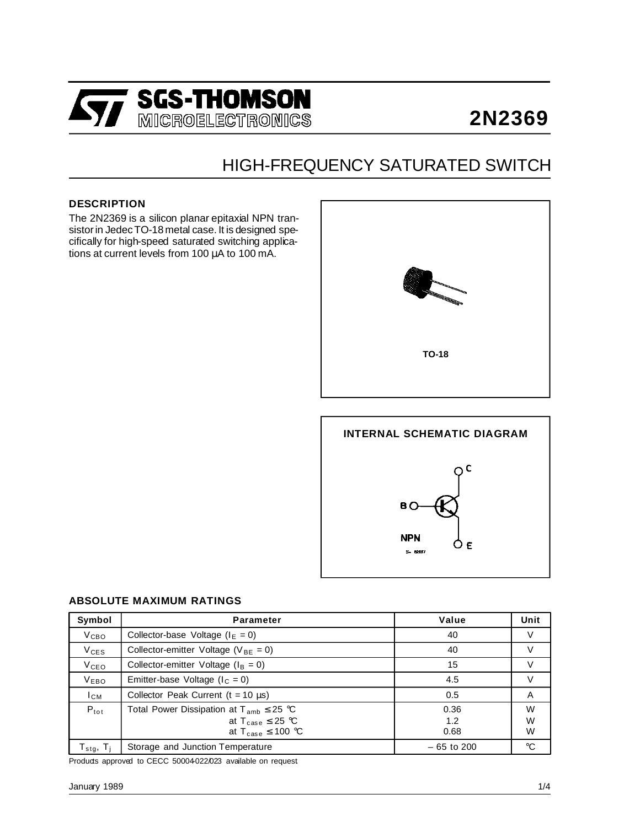

# **2N2369**

## HIGH-FREQUENCY SATURATED SWITCH

#### **DESCRIPTION**

The 2N2369 is a silicon planar epitaxial NPN transistorin JedecTO-18 metal case. It is designed specifically for high-speed saturated switching applications at current levels from 100 µA to 100 mA.



# **INTERNAL SCHEMATIC DIAGRAM**  $\circ$  c B<sub>Q</sub> **NPN** ÓЕ **S- 6897**

#### **ABSOLUTE MAXIMUM RATINGS**

| Symbol                    | <b>Parameter</b>                                | Value        | Unit        |
|---------------------------|-------------------------------------------------|--------------|-------------|
| V <sub>CBO</sub>          | Collector-base Voltage ( $IE = 0$ )             | 40           | V           |
| $V_{CES}$                 | Collector-emitter Voltage ( $V_{BE} = 0$ )      | 40           |             |
| V <sub>CEO</sub>          | Collector-emitter Voltage ( $I_B = 0$ )         | 15           |             |
| <b>VEBO</b>               | Emitter-base Voltage ( $I_C = 0$ )              | 4.5          |             |
| $I_{CM}$                  | Collector Peak Current ( $t = 10 \mu s$ )       | 0.5          | A           |
| $P_{\text{tot}}$          | Total Power Dissipation at $T_{amb} \leq 25$ °C | 0.36         | W           |
|                           | at $T_{\text{case}} \leq 25$ °C                 | 1.2          | W           |
|                           | at $T_{\text{case}} \leq 100 \text{ °C}$        | 0.68         | W           |
| $T_{\sf stg},\ T_{\sf i}$ | Storage and Junction Temperature                | $-65$ to 200 | $^{\circ}C$ |

Products approved to CECC 50004022/023 available on request.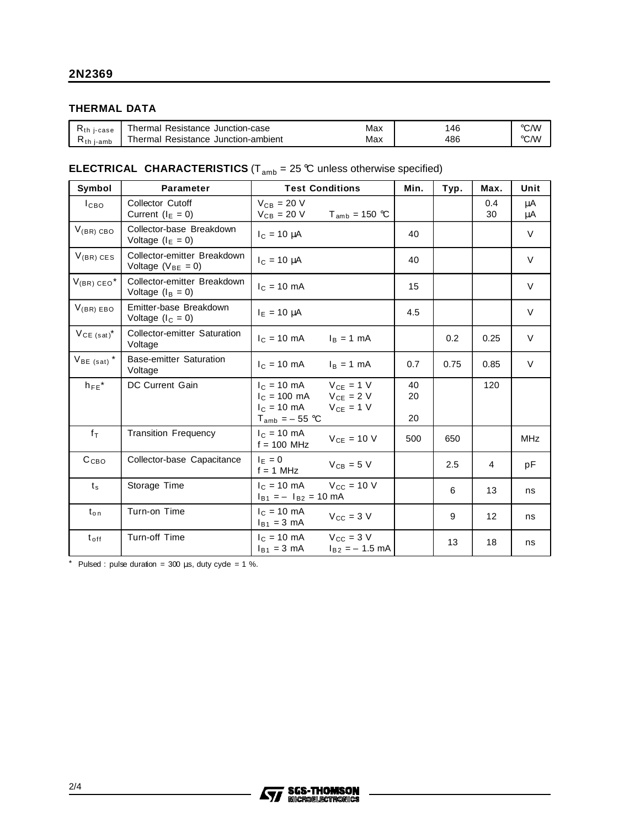#### **THERMAL DATA**

| $R_{th}$<br>i-case | Junction-case<br>Resistance<br>hermal                 | Max | 46  | °C/W |
|--------------------|-------------------------------------------------------|-----|-----|------|
| i-amb<br>Ւth       | Resistance<br>Junction-ambient<br><sup>-</sup> hermal | Max | 486 | °C/W |

### **ELECTRICAL CHARACTERISTICS** ( $T_{amb}$  = 25 °C unless otherwise specified)

| Symbol                     | <b>Parameter</b>                                      | <b>Test Conditions</b>                                                                                                | Min.                                        | Typ.           | Max. | Unit      |            |
|----------------------------|-------------------------------------------------------|-----------------------------------------------------------------------------------------------------------------------|---------------------------------------------|----------------|------|-----------|------------|
| I <sub>CBO</sub>           | <b>Collector Cutoff</b><br>Current ( $I_E = 0$ )      | $V_{CB} = 20 V$<br>$V_{CB}$ = 20 V                                                                                    | $T_{amb}$ = 150 °C                          |                |      | 0.4<br>30 | μA<br>μA   |
| $V_{(BR) CBO}$             | Collector-base Breakdown<br>Voltage $(I_E = 0)$       | $IC = 10 \mu A$                                                                                                       |                                             | 40             |      |           | $\vee$     |
| $V_{(BR)}$ CES             | Collector-emitter Breakdown<br>Voltage $(V_{BE} = 0)$ | $I_C = 10 \mu A$                                                                                                      |                                             | 40             |      |           | $\vee$     |
| $V_{(BR)$ CEO <sup>*</sup> | Collector-emitter Breakdown<br>Voltage $(I_B = 0)$    | $I_C = 10$ mA                                                                                                         |                                             | 15             |      |           | $\vee$     |
| $V_{(BR) EBO}$             | Emitter-base Breakdown<br>Voltage $(l_C = 0)$         | $I_E = 10 \mu A$                                                                                                      |                                             | 4.5            |      |           | $\vee$     |
| $V_{CE (sat)}$ *           | <b>Collector-emitter Saturation</b><br>Voltage        | $I_C = 10 \text{ mA}$                                                                                                 | $I_B = 1$ mA                                |                | 0.2  | 0.25      | $\vee$     |
| $V_{BE$ (sat) <sup>*</sup> | <b>Base-emitter Saturation</b><br>Voltage             | $I_C = 10 \text{ mA}$ $I_B = 1 \text{ mA}$                                                                            |                                             | 0.7            | 0.75 | 0.85      | $\vee$     |
| $h_{FE}$ *                 | DC Current Gain                                       | $I_C = 10 \text{ mA}$<br>$I_C = 100 \text{ mA}$ $V_{CE} = 2 \text{ V}$<br>$I_c = 10 \text{ mA}$<br>$T_{amb} = -55$ °C | $V_{CE} = 1 V$<br>$V_{CE} = 1 V$            | 40<br>20<br>20 |      | 120       |            |
| $f_T$                      | <b>Transition Frequency</b>                           | $I_C = 10 \text{ mA}$<br>$f = 100$ MHz                                                                                | $V_{CE}$ = 10 V                             | 500            | 650  |           | <b>MHz</b> |
| C <sub>CBO</sub>           | Collector-base Capacitance                            | $I_F = 0$<br>$f = 1$ MHz                                                                                              | $V_{CB} = 5 V$                              |                | 2.5  | 4         | рF         |
| $t_{\rm s}$                | Storage Time                                          | $I_{C} = 10 \text{ mA}$<br>$I_{B1} = -I_{B2} = 10 \text{ mA}$                                                         | $V_{CC}$ = 10 V                             |                | 6    | 13        | ns         |
| $t_{\text{on}}$            | Turn-on Time                                          | $I_C = 10 \text{ mA}$<br>$I_{B1} = 3$ mA                                                                              | $V_{CC}$ = 3 V                              |                | 9    | 12        | ns         |
| $t_{\text{off}}$           | Turn-off Time                                         | $I_{C} = 10 \text{ mA}$<br>$I_{B1} = 3$ mA                                                                            | $V_{\text{CC}} = 3$ V<br>$I_{B2} = -1.5$ mA |                | 13   | 18        | ns         |

 $*$  Pulsed : pulse duration = 300  $\mu$ s, duty cyde = 1 %.

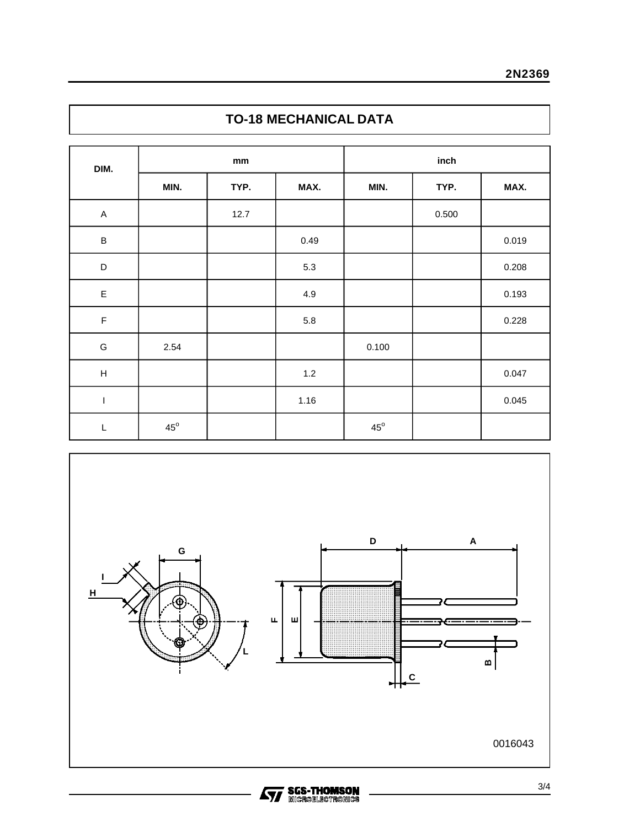## **TO-18 MECHANICAL DATA**

| DIM.                      | $\mathop{\rm mm}\nolimits$ |      |         | inch         |       |       |  |
|---------------------------|----------------------------|------|---------|--------------|-------|-------|--|
|                           | MIN.                       | TYP. | MAX.    | MIN.         | TYP.  | MAX.  |  |
| $\mathsf A$               |                            | 12.7 |         |              | 0.500 |       |  |
| $\, {\sf B}$              |                            |      | 0.49    |              |       | 0.019 |  |
| $\mathsf D$               |                            |      | $5.3\,$ |              |       | 0.208 |  |
| $\mathsf E$               |                            |      | 4.9     |              |       | 0.193 |  |
| $\mathsf F$               |                            |      | $5.8\,$ |              |       | 0.228 |  |
| G                         | 2.54                       |      |         | 0.100        |       |       |  |
| $\boldsymbol{\mathsf{H}}$ |                            |      | $1.2$   |              |       | 0.047 |  |
| $\mathsf I$               |                            |      | 1.16    |              |       | 0.045 |  |
| L                         | $45^{\circ}$               |      |         | $45^{\circ}$ |       |       |  |